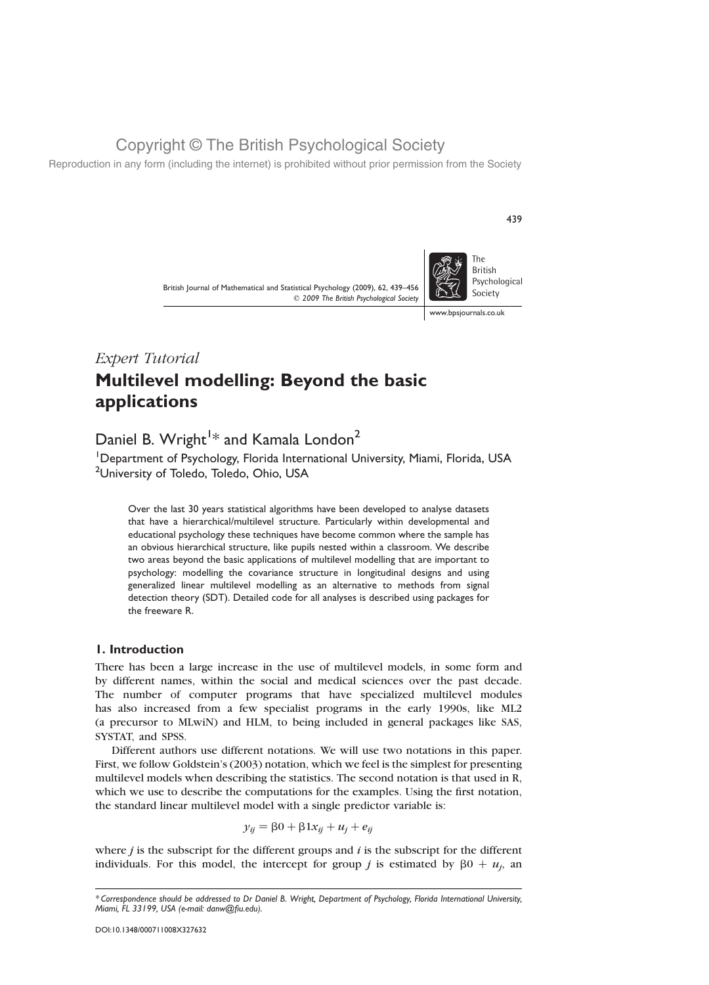Reproduction in any form (including the internet) is prohibited without prior permission from the Society

British Journal of Mathematical and Statistical Psychology (2009), 62, 439–456  $©$  2009 The British Psychological Society



439

www.bpsjournals.co.uk

# Expert Tutorial Multilevel modelling: Beyond the basic applications

# Daniel B. Wright<sup>1\*</sup> and Kamala London<sup>2</sup>

<sup>1</sup>Department of Psychology, Florida International University, Miami, Florida, USA <sup>2</sup>University of Toledo, Toledo, Ohio, USA

Over the last 30 years statistical algorithms have been developed to analyse datasets that have a hierarchical/multilevel structure. Particularly within developmental and educational psychology these techniques have become common where the sample has an obvious hierarchical structure, like pupils nested within a classroom. We describe two areas beyond the basic applications of multilevel modelling that are important to psychology: modelling the covariance structure in longitudinal designs and using generalized linear multilevel modelling as an alternative to methods from signal detection theory (SDT). Detailed code for all analyses is described using packages for the freeware R.

### 1. Introduction

There has been a large increase in the use of multilevel models, in some form and by different names, within the social and medical sciences over the past decade. The number of computer programs that have specialized multilevel modules has also increased from a few specialist programs in the early 1990s, like ML2 (a precursor to MLwiN) and HLM, to being included in general packages like SAS, SYSTAT, and SPSS.

Different authors use different notations. We will use two notations in this paper. First, we follow Goldstein's (2003) notation, which we feel is the simplest for presenting multilevel models when describing the statistics. The second notation is that used in R, which we use to describe the computations for the examples. Using the first notation, the standard linear multilevel model with a single predictor variable is:

$$
y_{ij} = \beta 0 + \beta 1 x_{ij} + u_j + e_{ij}
$$

where  $j$  is the subscript for the different groups and  $i$  is the subscript for the different individuals. For this model, the intercept for group j is estimated by  $\beta 0 + u_i$ , an

<sup>\*</sup> Correspondence should be addressed to Dr Daniel B. Wright, Department of Psychology, Florida International University, Miami, FL 33199, USA (e-mail: danw@fiu.edu).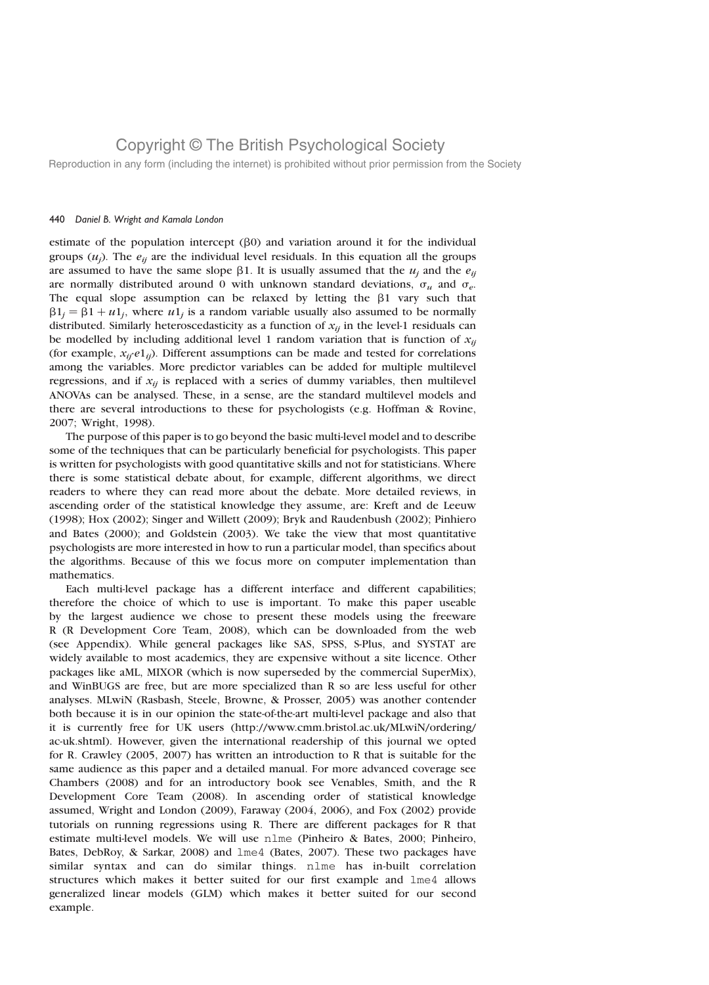Reproduction in any form (including the internet) is prohibited without prior permission from the Society

### 440 Daniel B. Wright and Kamala London

estimate of the population intercept  $(\beta 0)$  and variation around it for the individual groups  $(u_i)$ . The  $e_{ii}$  are the individual level residuals. In this equation all the groups are assumed to have the same slope  $\beta$ 1. It is usually assumed that the  $u_i$  and the  $e_{ii}$ are normally distributed around 0 with unknown standard deviations,  $\sigma_u$  and  $\sigma_e$ . The equal slope assumption can be relaxed by letting the  $\beta$ 1 vary such that  $\beta_1 = \beta_1 + u_1$ , where  $u_1$  is a random variable usually also assumed to be normally distributed. Similarly heteroscedasticity as a function of  $x_{ij}$  in the level-1 residuals can be modelled by including additional level 1 random variation that is function of  $x_{ij}$ (for example,  $x_{ii'}e1_{ii}$ ). Different assumptions can be made and tested for correlations among the variables. More predictor variables can be added for multiple multilevel regressions, and if  $x_{ij}$  is replaced with a series of dummy variables, then multilevel ANOVAs can be analysed. These, in a sense, are the standard multilevel models and there are several introductions to these for psychologists (e.g. Hoffman & Rovine, 2007; Wright, 1998).

The purpose of this paper is to go beyond the basic multi-level model and to describe some of the techniques that can be particularly beneficial for psychologists. This paper is written for psychologists with good quantitative skills and not for statisticians. Where there is some statistical debate about, for example, different algorithms, we direct readers to where they can read more about the debate. More detailed reviews, in ascending order of the statistical knowledge they assume, are: Kreft and de Leeuw (1998); Hox (2002); Singer and Willett (2009); Bryk and Raudenbush (2002); Pinhiero and Bates (2000); and Goldstein (2003). We take the view that most quantitative psychologists are more interested in how to run a particular model, than specifics about the algorithms. Because of this we focus more on computer implementation than mathematics.

Each multi-level package has a different interface and different capabilities; therefore the choice of which to use is important. To make this paper useable by the largest audience we chose to present these models using the freeware R (R Development Core Team, 2008), which can be downloaded from the web (see Appendix). While general packages like SAS, SPSS, S-Plus, and SYSTAT are widely available to most academics, they are expensive without a site licence. Other packages like aML, MIXOR (which is now superseded by the commercial SuperMix), and WinBUGS are free, but are more specialized than R so are less useful for other analyses. MLwiN (Rasbash, Steele, Browne, & Prosser, 2005) was another contender both because it is in our opinion the state-of-the-art multi-level package and also that it is currently free for UK users (http://www.cmm.bristol.ac.uk/MLwiN/ordering/ ac-uk.shtml). However, given the international readership of this journal we opted for R. Crawley (2005, 2007) has written an introduction to R that is suitable for the same audience as this paper and a detailed manual. For more advanced coverage see Chambers (2008) and for an introductory book see Venables, Smith, and the R Development Core Team (2008). In ascending order of statistical knowledge assumed, Wright and London (2009), Faraway (2004, 2006), and Fox (2002) provide tutorials on running regressions using R. There are different packages for R that estimate multi-level models. We will use nlme (Pinheiro & Bates, 2000; Pinheiro, Bates, DebRoy, & Sarkar, 2008) and lme4 (Bates, 2007). These two packages have similar syntax and can do similar things. nlme has in-built correlation structures which makes it better suited for our first example and lme4 allows generalized linear models (GLM) which makes it better suited for our second example.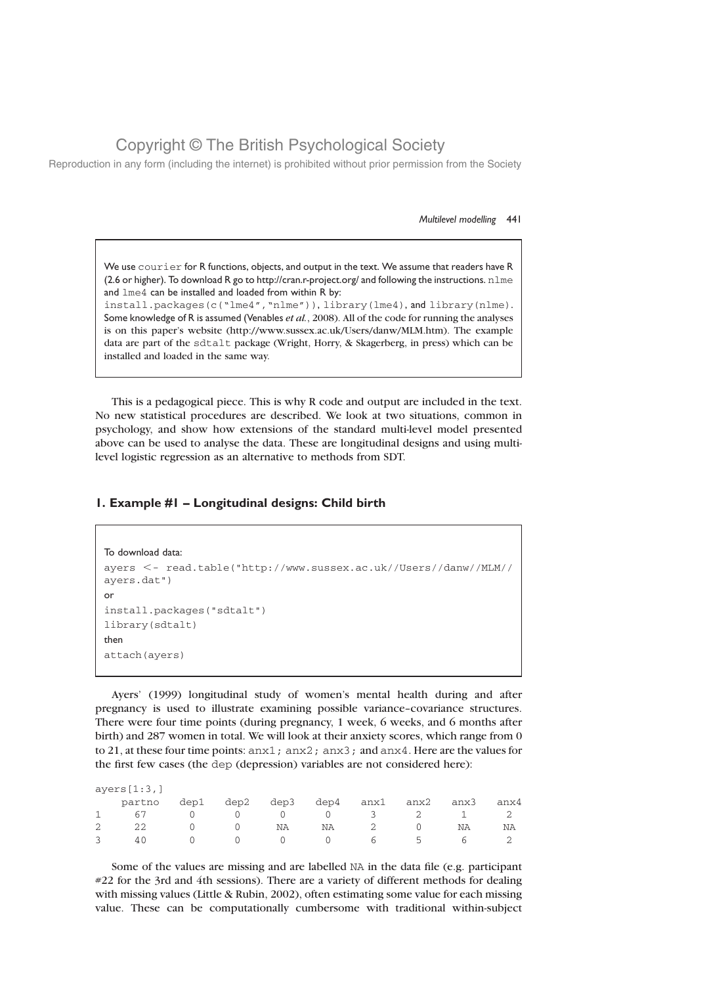Reproduction in any form (including the internet) is prohibited without prior permission from the Society

#### Multilevel modelling 441

We use courier for R functions, objects, and output in the text. We assume that readers have R (2.6 or higher). To download R go to http://cran.r-project.org/ and following the instructions.  $n \text{1me}$ and lme4 can be installed and loaded from within R by:

install.packages(c("lme4","nlme")), library(lme4), and library(nlme). Some knowledge of R is assumed (Venables et al., 2008). All of the code for running the analyses is on this paper's website (http://www.sussex.ac.uk/Users/danw/MLM.htm). The example data are part of the sdtalt package (Wright, Horry, & Skagerberg, in press) which can be installed and loaded in the same way.

This is a pedagogical piece. This is why R code and output are included in the text. No new statistical procedures are described. We look at two situations, common in psychology, and show how extensions of the standard multi-level model presented above can be used to analyse the data. These are longitudinal designs and using multilevel logistic regression as an alternative to methods from SDT.

### 1. Example #1 – Longitudinal designs: Child birth

```
To download data:
ayers <- read.table("http://www.sussex.ac.uk//Users//danw//MLM//
ayers.dat")
or
install.packages("sdtalt")
library(sdtalt)
then
attach(ayers)
```
Ayers' (1999) longitudinal study of women's mental health during and after pregnancy is used to illustrate examining possible variance–covariance structures. There were four time points (during pregnancy, 1 week, 6 weeks, and 6 months after birth) and 287 women in total. We will look at their anxiety scores, which range from 0 to 21, at these four time points: anx1; anx2; anx3; and anx4. Here are the values for the first few cases (the dep (depression) variables are not considered here):

ayers[1:3,]

| partno dep1 dep2 dep3 dep4 anx1 anx2 anx3 anx4 |  |  |  |  |
|------------------------------------------------|--|--|--|--|
| 1 67 0 0 0 0 3 2 1 2                           |  |  |  |  |
| $2$ 22 0 0 NA NA 2 0 NA NA                     |  |  |  |  |
| 3 40 0 0 0 0 6 5 6 2                           |  |  |  |  |

Some of the values are missing and are labelled NA in the data file (e.g. participant #22 for the 3rd and 4th sessions). There are a variety of different methods for dealing with missing values (Little & Rubin, 2002), often estimating some value for each missing value. These can be computationally cumbersome with traditional within-subject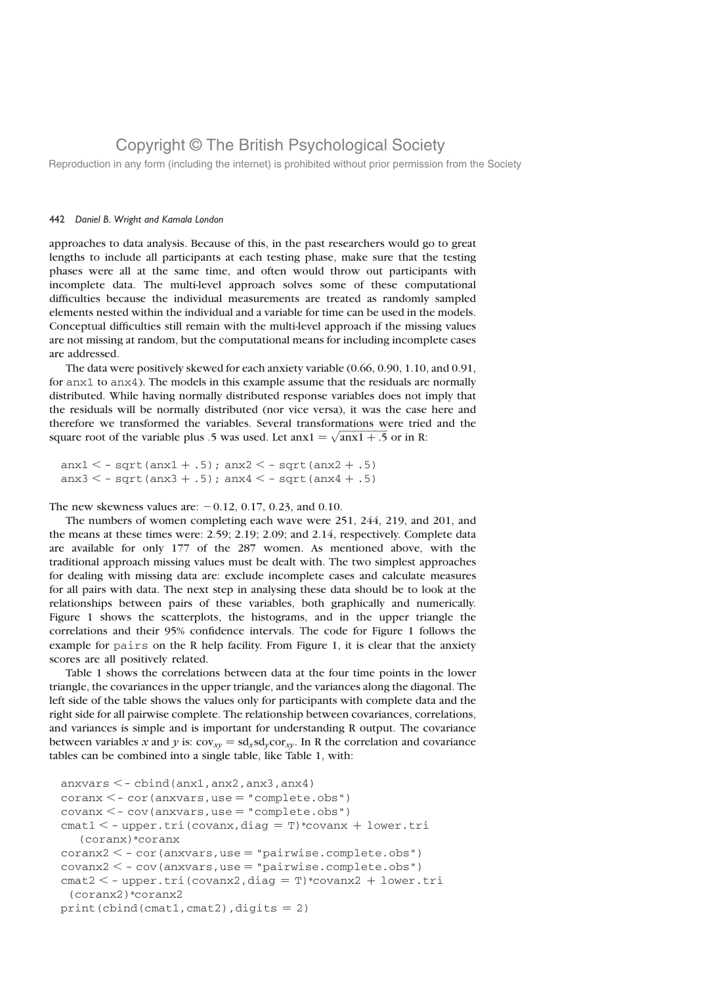Reproduction in any form (including the internet) is prohibited without prior permission from the Society

### 442 Daniel B. Wright and Kamala London

approaches to data analysis. Because of this, in the past researchers would go to great lengths to include all participants at each testing phase, make sure that the testing phases were all at the same time, and often would throw out participants with incomplete data. The multi-level approach solves some of these computational difficulties because the individual measurements are treated as randomly sampled elements nested within the individual and a variable for time can be used in the models. Conceptual difficulties still remain with the multi-level approach if the missing values are not missing at random, but the computational means for including incomplete cases are addressed.

The data were positively skewed for each anxiety variable (0.66, 0.90, 1.10, and 0.91, for anx1 to anx4). The models in this example assume that the residuals are normally distributed. While having normally distributed response variables does not imply that the residuals will be normally distributed (nor vice versa), it was the case here and therefore we transformed the variables. Several transformations were tried and the therefore we transformed the variables. Several transformations were tried<br>square root of the variable plus .5 was used. Let  $\arctan z = \sqrt{\arctan z + .5}$  or in R:

 $anx1 < -sqrt(anx1 + .5)$ ;  $anx2 < -sqrt(anx2 + .5)$ anx $3 < -$  sqrt(anx $3 + .5$ ); anx $4 < -$  sqrt(anx $4 + .5$ )

The new skewness values are:  $-0.12$ , 0.17, 0.23, and 0.10.

The numbers of women completing each wave were 251, 244, 219, and 201, and the means at these times were: 2.59; 2.19; 2.09; and 2.14, respectively. Complete data are available for only 177 of the 287 women. As mentioned above, with the traditional approach missing values must be dealt with. The two simplest approaches for dealing with missing data are: exclude incomplete cases and calculate measures for all pairs with data. The next step in analysing these data should be to look at the relationships between pairs of these variables, both graphically and numerically. Figure 1 shows the scatterplots, the histograms, and in the upper triangle the correlations and their 95% confidence intervals. The code for Figure 1 follows the example for pairs on the R help facility. From Figure 1, it is clear that the anxiety scores are all positively related.

Table 1 shows the correlations between data at the four time points in the lower triangle, the covariances in the upper triangle, and the variances along the diagonal. The left side of the table shows the values only for participants with complete data and the right side for all pairwise complete. The relationship between covariances, correlations, and variances is simple and is important for understanding R output. The covariance between variables x and y is:  $cov_{xy} = sd_x sd_ycor_{xy}$ . In R the correlation and covariance tables can be combined into a single table, like Table 1, with:

```
anxvars \lt - cbind(anx1, anx2, anx3, anx4)
coranx < - cor(anxvars,use = "complete.obs")covan x < -cov(an x) = "complete.obs")
cmat1 < - upper.tri(covanx,diag = T)*covanx + lower.tri(coranx)*coranx
coranx2 < - cor(anxvars,use = "pairwise.compile.obs")covanz2 < -cov(</math>anxvars,use = "pairwise.compile.e.obs")cmat2 < - upper.tri(covanx2,diag = T)*covanx2 + lower.tri
 (coranx2)*coranx2
print(cbind(cmat1, cmat2), digits = 2)
```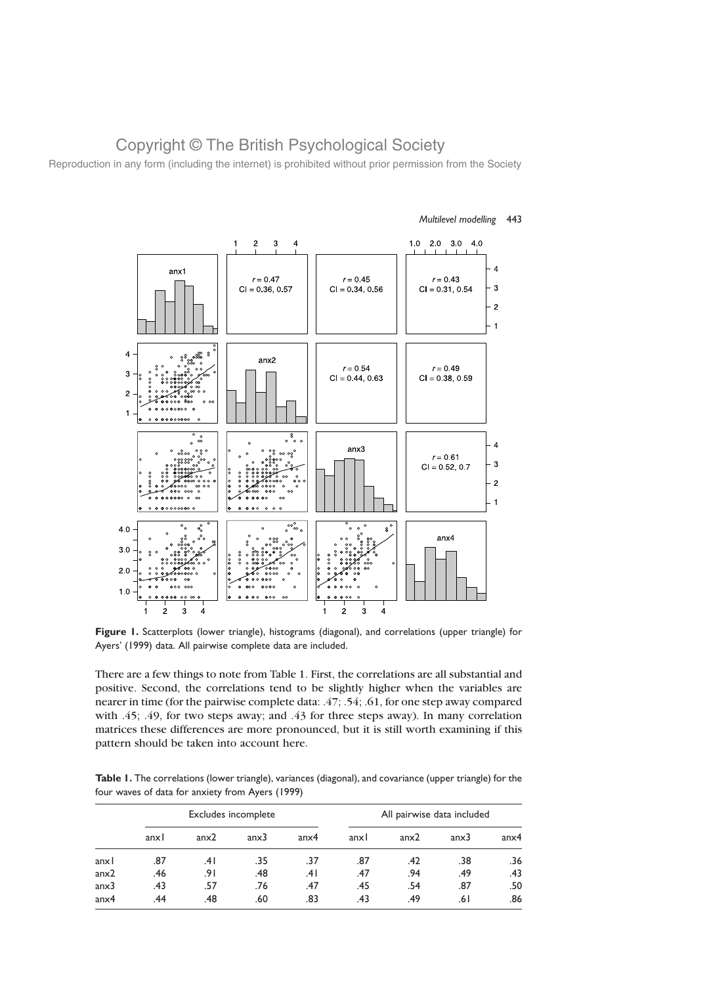Reproduction in any form (including the internet) is prohibited without prior permission from the Society



Multilevel modelling 443

Figure 1. Scatterplots (lower triangle), histograms (diagonal), and correlations (upper triangle) for Ayers' (1999) data. All pairwise complete data are included.

There are a few things to note from Table 1. First, the correlations are all substantial and positive. Second, the correlations tend to be slightly higher when the variables are nearer in time (for the pairwise complete data: .47; .54; .61, for one step away compared with .45; .49, for two steps away; and .43 for three steps away). In many correlation matrices these differences are more pronounced, but it is still worth examining if this pattern should be taken into account here.

Table 1. The correlations (lower triangle), variances (diagonal), and covariance (upper triangle) for the four waves of data for anxiety from Ayers (1999)

|                  |      |      | Excludes incomplete |                  | All pairwise data included |      |      |                  |
|------------------|------|------|---------------------|------------------|----------------------------|------|------|------------------|
|                  | anxl | anx2 | anx3                | anx <sub>4</sub> | anxl                       | anx2 | anx3 | anx <sub>4</sub> |
| anxl             | .87  | .41  | .35                 | .37              | .87                        | .42  | .38  | .36              |
| anx2             | .46  | .91  | .48                 | .4۱              | .47                        | .94  | .49  | .43              |
| anx3             | .43  | .57  | .76                 | .47              | .45                        | .54  | .87  | .50              |
| anx <sub>4</sub> | .44  | .48  | .60                 | .83              | .43                        | .49  | ا 6. | .86              |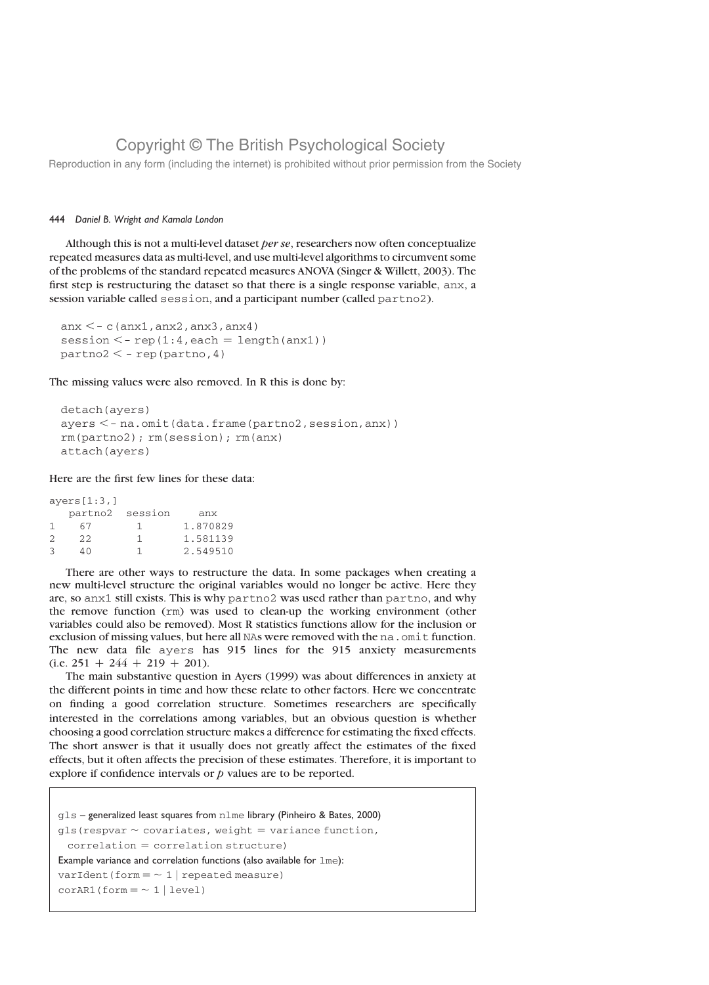Reproduction in any form (including the internet) is prohibited without prior permission from the Society

### 444 Daniel B. Wright and Kamala London

Although this is not a multi-level dataset per se, researchers now often conceptualize repeated measures data as multi-level, and use multi-level algorithms to circumvent some of the problems of the standard repeated measures ANOVA (Singer & Willett, 2003). The first step is restructuring the dataset so that there is a single response variable, anx, a session variable called session, and a participant number (called partno2).

```
anx \lt - c(anx1, anx2, anx3, anx4)
session \leq - rep(1:4, each = length(anx1))
partno2 < - rep(partno, 4)
```
The missing values were also removed. In R this is done by:

```
detach(ayers)
ayers < - na.omit(data.frame(partno2,session,anx))
rm(partno2); rm(session); rm(anx)
attach(ayers)
```
Here are the first few lines for these data:

ayers[1:3,]

|   | partno2 | session | anx      |
|---|---------|---------|----------|
|   | 67      |         | 1.870829 |
| 2 | 22      |         | 1.581139 |
| 3 | 4 N     |         | 2.549510 |

There are other ways to restructure the data. In some packages when creating a new multi-level structure the original variables would no longer be active. Here they are, so anx1 still exists. This is why partno2 was used rather than partno, and why the remove function (rm) was used to clean-up the working environment (other variables could also be removed). Most R statistics functions allow for the inclusion or exclusion of missing values, but here all NAs were removed with the na. omit function. The new data file ayers has 915 lines for the 915 anxiety measurements  $(i.e. 251 + 244 + 219 + 201).$ 

The main substantive question in Ayers (1999) was about differences in anxiety at the different points in time and how these relate to other factors. Here we concentrate on finding a good correlation structure. Sometimes researchers are specifically interested in the correlations among variables, but an obvious question is whether choosing a good correlation structure makes a difference for estimating the fixed effects. The short answer is that it usually does not greatly affect the estimates of the fixed effects, but it often affects the precision of these estimates. Therefore, it is important to explore if confidence intervals or  $p$  values are to be reported.

gls – generalized least squares from nlme library (Pinheiro & Bates, 2000) gls(respvar  $\sim$  covariates, weight = variance function,  $correlation = correlation structure)$ Example variance and correlation functions (also available for  $1me$ ): varIdent(form =  $\sim 1$  | repeated measure)  $corAR1(form = ~ 1 | level)$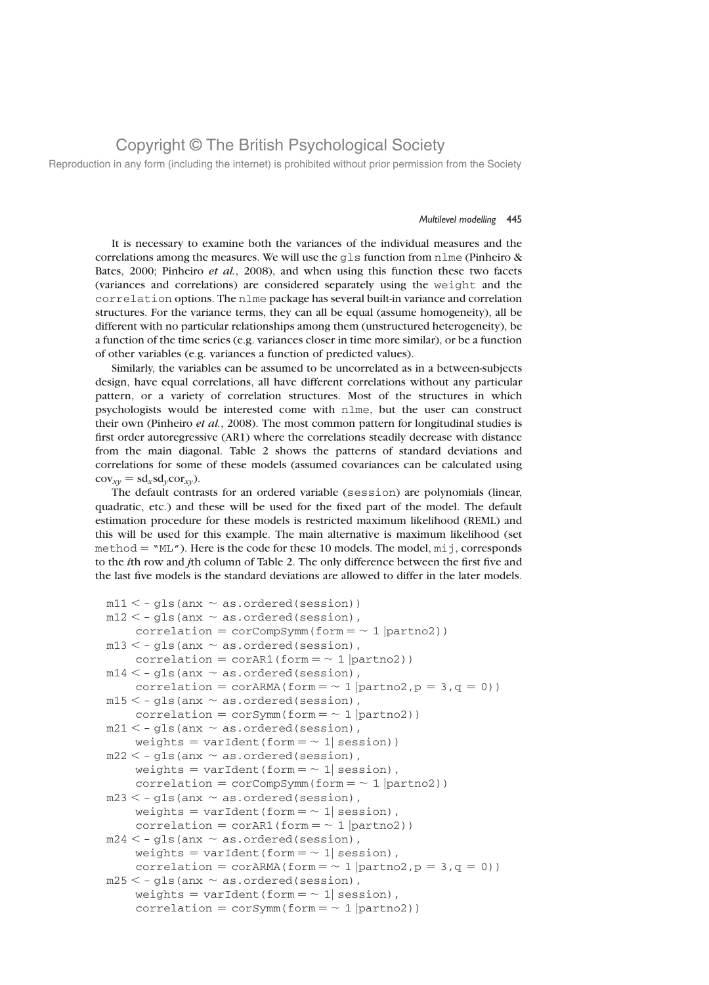Reproduction in any form (including the internet) is prohibited without prior permission from the Society

#### Multilevel modelling 445

It is necessary to examine both the variances of the individual measures and the correlations among the measures. We will use the gls function from nlme (Pinheiro & Bates, 2000; Pinheiro et al., 2008), and when using this function these two facets (variances and correlations) are considered separately using the weight and the correlation options. The nlme package has several built-in variance and correlation structures. For the variance terms, they can all be equal (assume homogeneity), all be different with no particular relationships among them (unstructured heterogeneity), be a function of the time series (e.g. variances closer in time more similar), or be a function of other variables (e.g. variances a function of predicted values).

Similarly, the variables can be assumed to be uncorrelated as in a between-subjects design, have equal correlations, all have different correlations without any particular pattern, or a variety of correlation structures. Most of the structures in which psychologists would be interested come with nlme, but the user can construct their own (Pinheiro et al., 2008). The most common pattern for longitudinal studies is first order autoregressive (AR1) where the correlations steadily decrease with distance from the main diagonal. Table 2 shows the patterns of standard deviations and correlations for some of these models (assumed covariances can be calculated using  $cov_{xy} = sd_x sd_ycor_{xy}$ .

The default contrasts for an ordered variable (session) are polynomials (linear, quadratic, etc.) and these will be used for the fixed part of the model. The default estimation procedure for these models is restricted maximum likelihood (REML) and this will be used for this example. The main alternative is maximum likelihood (set method  $=$  "ML"). Here is the code for these 10 models. The model,  $\text{mi}$ , corresponds to the ith row and jth column of Table 2. The only difference between the first five and the last five models is the standard deviations are allowed to differ in the later models.

```
m11 < -g1s(anx \sim as.ordered(session))
m12 < -g1s (anx \sim as.ordered(session),
    correlation = corCompSymm(form = ~ 1 | partno2))
m13 < -g1s (anx \sim as.ordered(session),
    correlation = corAR1(form = ~ 1 | partno2))
m14 < -q1s (anx \sim as.ordered(session),
    correlation = corARMA(form = \sim 1 |partno2, p = 3, q = 0))
m15 < -g1s (anx \sim as.ordered(session),
    correlation = corSymm(form = \sim 1 |partno2))
m21 < -q1s (anx \sim as.ordered(session),
    weights = varIdent(form = \sim 1| session))
m22 < -g1s (anx \sim as.ordered(session),
    weights = varIdent(form = \sim 1| session),
    correlation = corCompSymm(form = ~ 1 | partno2))m23 < -g1s (anx \sim as.ordered(session),
    weights = varIdent(form = \sim 1| session),
    correlation = \text{corr}AR1(form = \sim 1 |partno2))
m24 < -g1s (anx \sim as.ordered(session),
    weights = varIdent(form = \sim 1| session),
    correlation = corARMA(form = \sim 1 |partno2, p = 3, q = 0))
m25 < -g1s (anx \sim as.ordered(session),
    weights = varIdent(form = \sim 1| session),
    correlation = corSymm(form = \sim 1 |partno2))
```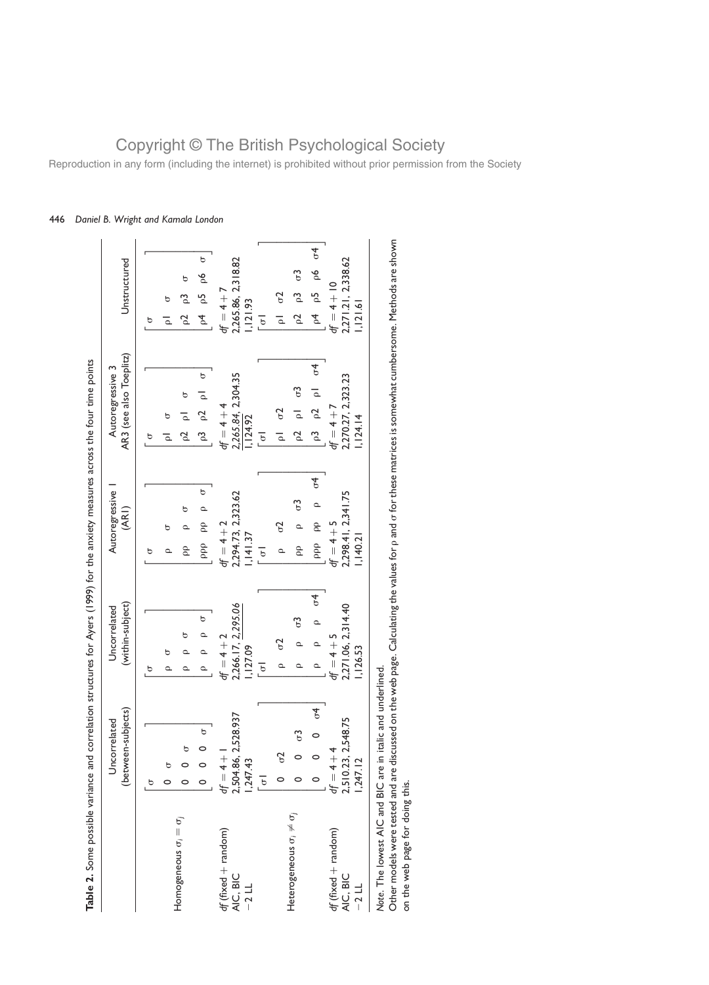|                                              |                                                           |                                                                  | Table 2. Some possible variance and correlation structures for Ayers (1999) for the anxiety measures across the four time points |                                                                  |                                                                                                   |
|----------------------------------------------|-----------------------------------------------------------|------------------------------------------------------------------|----------------------------------------------------------------------------------------------------------------------------------|------------------------------------------------------------------|---------------------------------------------------------------------------------------------------|
|                                              | (between-subjects)<br>Uncorrelated                        | (within-subject)<br>Uncorrelated                                 | Autoregressive<br>(ARI)                                                                                                          | AR3 (see also Toeplitz)<br>Autoregressive 3                      | Unstructured                                                                                      |
| Homogeneous $\sigma_i = \sigma_j$            | $\circ$<br>b<br>$\circ$                                   | Ь<br>ь<br>$\Omega$<br>ь<br>≏                                     | $\circ$<br>ь<br>ppp pp<br>ь<br>ρp<br>5                                                                                           | $\circ$<br>ь<br>d<br>Z<br>ь<br><u>უ</u><br>δ<br>ь<br>ᅙ           | $\circ$<br>೬<br>ь<br>$\overline{p}$<br>ಌ<br>ь<br>p4<br>S<br>$\ddot{\phantom{0}}$<br>$\bar{\circ}$ |
| $df$ (fixed + random)<br>AIC, BIC<br>$-2$ LL | 2,504.86, 2,528.937<br>$df = 4 +$<br>,247.43              | 2,266.17, 2,295.06<br>$df = 4 + 2$<br>,127.09<br>$\overline{6}$  | 2,294.73, 2,323.62<br>$df = 4 + 2$<br>, 141.37<br>$\overline{6}$                                                                 | 2,265.84, 2,304.35<br>$df = 4 + 4$<br>, 124.92<br>$\overline{6}$ | 2,265.86, 2,318.82<br>$df = 4 + 7$<br>1,121.93<br>$\overline{6}$                                  |
| Heterogeneous $\sigma_i \neq \sigma_j$       | $\mathcal{L}$<br>$\circ$<br>$\sigma$<br>$\overline{6}$    | $\rho$ o4<br>$\mathcal{C}$<br>$\sigma$<br>≏<br>$\circ$<br>Q<br>Q | $\mathcal{L}$<br>$\sigma$<br>$\epsilon$<br>$\mathcal{E}_{\mathcal{D}}$<br>ppp<br>β<br>Q                                          | p2 p1 q4<br>$p2 p1 \sigma3$<br>$p1 \sigma2$<br>p3                | $p5 p6 \sigma4$<br>$\sigma$ 3<br>p3<br>$p1 \sigma2$<br>$\overline{f}$<br>$\sim$                   |
| $df$ (fixed + random)<br>AIC, BIC<br>$-21$   | 2,510.23, 2,548.75<br>$df = 4 + 4$<br>,247.12             | 2,271.06, 2,314.40<br>$df = 4 + 5$<br>,126.53                    | 2,298.41, 2,341.75<br>$df = 4 + 5$<br>1,140.21                                                                                   | 2,270.27, 2,323.23<br>$df = 4 + 7$<br>, 124.14                   | 2,271.21, 2,338.62<br>$df = 4 + 10$<br>, 121.61                                                   |
|                                              | Note. The lowest AIC and BIC are in italic and underlined |                                                                  |                                                                                                                                  |                                                                  |                                                                                                   |

Daniel B. Wright and Kamala London

Other models were tested and are discussed on the web page. Calculating the values for  $\rho$  and s for these matrices is somewhat cumbersome. Methods are shown on the web page for doing this.

# Copyright © The British Psychological Society Reproduction in any form (including the internet) is prohibited without prior permission from the Society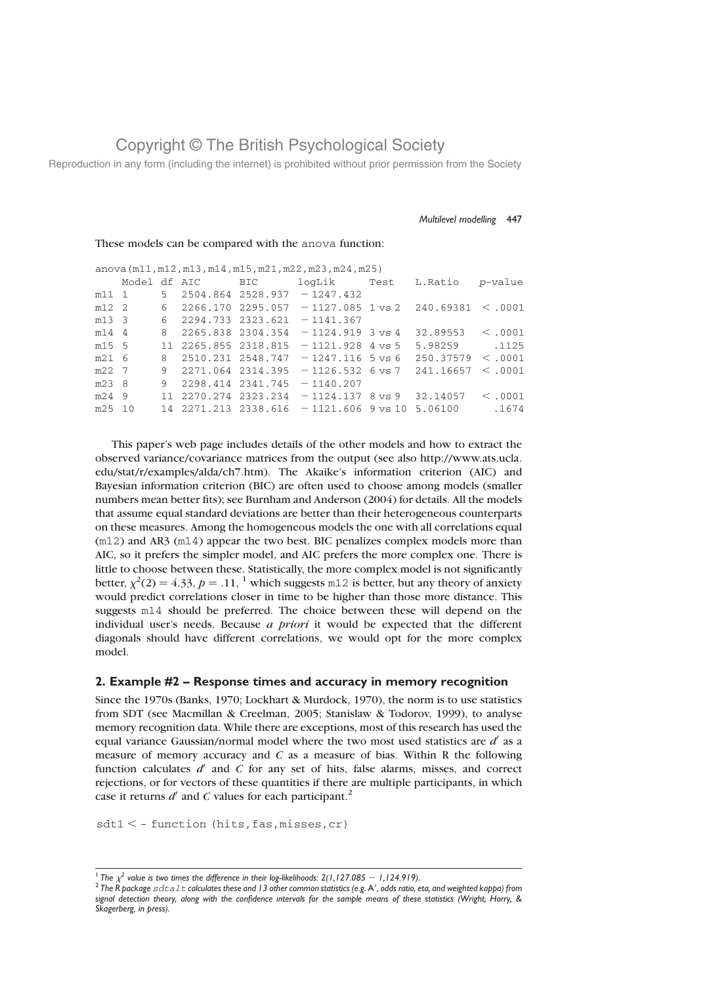Reproduction in any form (including the internet) is prohibited without prior permission from the Society

#### Multilevel modelling 447

These models can be compared with the anova function:

| anova $(m11, m12, m13, m14, m15, m21, m22, m23, m24, m25)$ |  |   |                  |                   |                                                                                    |  |                       |         |
|------------------------------------------------------------|--|---|------------------|-------------------|------------------------------------------------------------------------------------|--|-----------------------|---------|
|                                                            |  |   | Model df AIC BIC |                   | loqLik Test                                                                        |  | L.Ratio               | p-value |
| m11 1                                                      |  |   |                  |                   | $5$ 2504.864 2528.937 - 1247.432                                                   |  |                       |         |
| m12 2                                                      |  | 6 |                  |                   | $2266.170$ 2295.057 -1127.085 1 vs 2 240.69381 $\leq$ .0001                        |  |                       |         |
| m13 <sub>3</sub>                                           |  | 6 |                  | 2294.733 2323.621 | $-1141.367$                                                                        |  |                       |         |
| m14 4                                                      |  | 8 |                  | 2265.838 2304.354 | $-1124.919$ 3 vs 4                                                                 |  | $32.89553 \leq .0001$ |         |
| m15 5                                                      |  |   |                  |                   | $11\quad 2265.855\quad 2318.815\quad -1121.928\quad 4 \text{ vs } 5$               |  | 5.98259 .1125         |         |
| $m21$ 6                                                    |  | 8 |                  |                   | $2510.231$ $2548.747$ - 1247.116 5 vs 6                                            |  | 250.37579 < .0001     |         |
| m22 7                                                      |  | 9 |                  |                   | $2271.064$ $2314.395$ -1126.532 6 vs 7                                             |  | 241.16657             | <.0001  |
| m23 8                                                      |  | 9 |                  | 2298.414 2341.745 | $-1140.207$                                                                        |  |                       |         |
| m24 9                                                      |  |   |                  |                   | $11\quad 2270.274\quad 2323.234\quad -1124.137\quad 8 \text{ vs } 9\quad 32.14057$ |  |                       | <.0001  |
| m25 10                                                     |  |   |                  |                   | $14$ 2271.213 2338.616 -1121.606 9 vs 10 5.06100                                   |  |                       | .1674   |
|                                                            |  |   |                  |                   |                                                                                    |  |                       |         |

This paper's web page includes details of the other models and how to extract the observed variance/covariance matrices from the output (see also http://www.ats.ucla. edu/stat/r/examples/alda/ch7.htm). The Akaike's information criterion (AIC) and Bayesian information criterion (BIC) are often used to choose among models (smaller numbers mean better fits); see Burnham and Anderson (2004) for details. All the models that assume equal standard deviations are better than their heterogeneous counterparts on these measures. Among the homogeneous models the one with all correlations equal (m12) and AR3 (m14) appear the two best. BIC penalizes complex models more than AIC, so it prefers the simpler model, and AIC prefers the more complex one. There is little to choose between these. Statistically, the more complex model is not significantly better,  $\chi^2(2) = 4.33$ ,  $p = .11$ , <sup>1</sup> which suggests m12 is better, but any theory of anxiety would predict correlations closer in time to be higher than those more distance. This suggests m14 should be preferred. The choice between these will depend on the individual user's needs. Because a priori it would be expected that the different diagonals should have different correlations, we would opt for the more complex model.

### 2. Example #2 – Response times and accuracy in memory recognition

Since the 1970s (Banks, 1970; Lockhart & Murdock, 1970), the norm is to use statistics from SDT (see Macmillan & Creelman, 2005; Stanislaw & Todorov, 1999), to analyse memory recognition data. While there are exceptions, most of this research has used the equal variance Gaussian/normal model where the two most used statistics are  $d'$  as a measure of memory accuracy and  $C$  as a measure of bias. Within R the following function calculates  $d'$  and C for any set of hits, false alarms, misses, and correct rejections, or for vectors of these quantities if there are multiple participants, in which case it returns  $d'$  and C values for each participant.<sup>2</sup>

 $sdt1 < -$  function (hits, fas, misses, cr)

 $^1$  The  $\chi^2$  value is two times the difference in their log-likelihoods: 2(1,127.085  $-$  1,124.919).<br><sup>2</sup> The R package  $\mathop{\rm s\,d}$  a.1  $\mathop{\rm t\,d}$  calculates these and 13 other common statistics (e.g. A', odds ratio, signal detection theory, along with the confidence intervals for the sample means of these statistics (Wright, Horry, & Skagerberg, in press).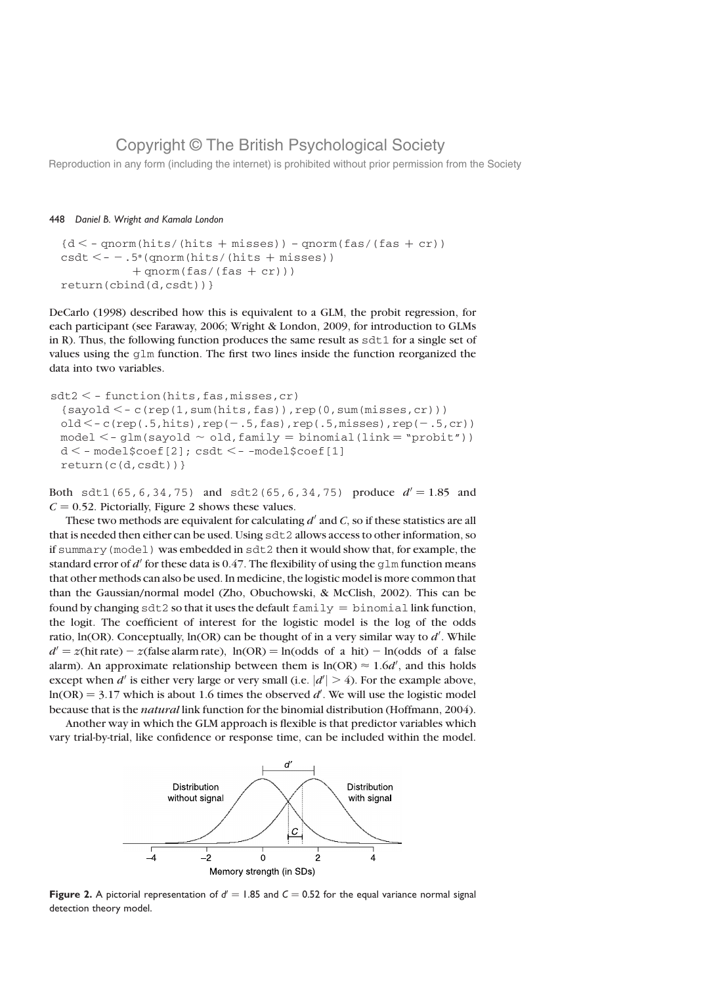Reproduction in any form (including the internet) is prohibited without prior permission from the Society

### 448 Daniel B. Wright and Kamala London

```
{d < - qnorm(hits/(hits + misses)) – qnorm(fas/(fas + cr))
csdt < -1.5*(qnorm(hits/(hits + misses))+qnorm(fas/(fas + cr)))
return(cbind(d,csdt))}
```
DeCarlo (1998) described how this is equivalent to a GLM, the probit regression, for each participant (see Faraway, 2006; Wright & London, 2009, for introduction to GLMs in R). Thus, the following function produces the same result as  $sdt1$  for a single set of values using the  $g \ln \theta$  function. The first two lines inside the function reorganized the data into two variables.

```
sdt2 < - function(hits, fas, misses, cr)
 {sayold < -c(rep(1,sum(hits,fas))}, rep(0, sum(misses, cr)))
 old < -c(rep(.5,hits),rep(-.5,fas),rep(.5,misses),rep(-.5,cr))
 model < -glm(sayold \sim old, family = binomial(link = "probit"))d < - model$coef[2]; csdt <--model$coef[1]
 return(c(d,csdt))}
```
Both sdt1(65,6,34,75) and sdt2(65,6,34,75) produce  $d' = 1.85$  and  $C = 0.52$ . Pictorially, Figure 2 shows these values.

These two methods are equivalent for calculating  $d'$  and C, so if these statistics are all that is needed then either can be used. Using sdt2 allows access to other information, so if summary(model) was embedded in sdt2 then it would show that, for example, the standard error of d' for these data is 0.47. The flexibility of using the  $q \ln$  function means that other methods can also be used. In medicine, the logistic model is more common that than the Gaussian/normal model (Zho, Obuchowski, & McClish, 2002). This can be found by changing sdt2 so that it uses the default  $fami1y = binomial$  link function, the logit. The coefficient of interest for the logistic model is the log of the odds ratio,  $ln(OR)$ . Conceptually,  $ln(OR)$  can be thought of in a very similar way to  $d'$ . While  $d' = z$ (hit rate) –  $z$ (false alarm rate), ln(OR) = ln(odds of a hit) – ln(odds of a false alarm). An approximate relationship between them is  $ln(OR) \approx 1.6d'$ , and this holds except when  $d'$  is either very large or very small (i.e.  $|d'| > 4$ ). For the example above,  $ln(OR) = 3.17$  which is about 1.6 times the observed d'. We will use the logistic model because that is the natural link function for the binomial distribution (Hoffmann, 2004).

Another way in which the GLM approach is flexible is that predictor variables which vary trial-by-trial, like confidence or response time, can be included within the model.



Figure 2. A pictorial representation of  $d' = 1.85$  and  $C = 0.52$  for the equal variance normal signal detection theory model.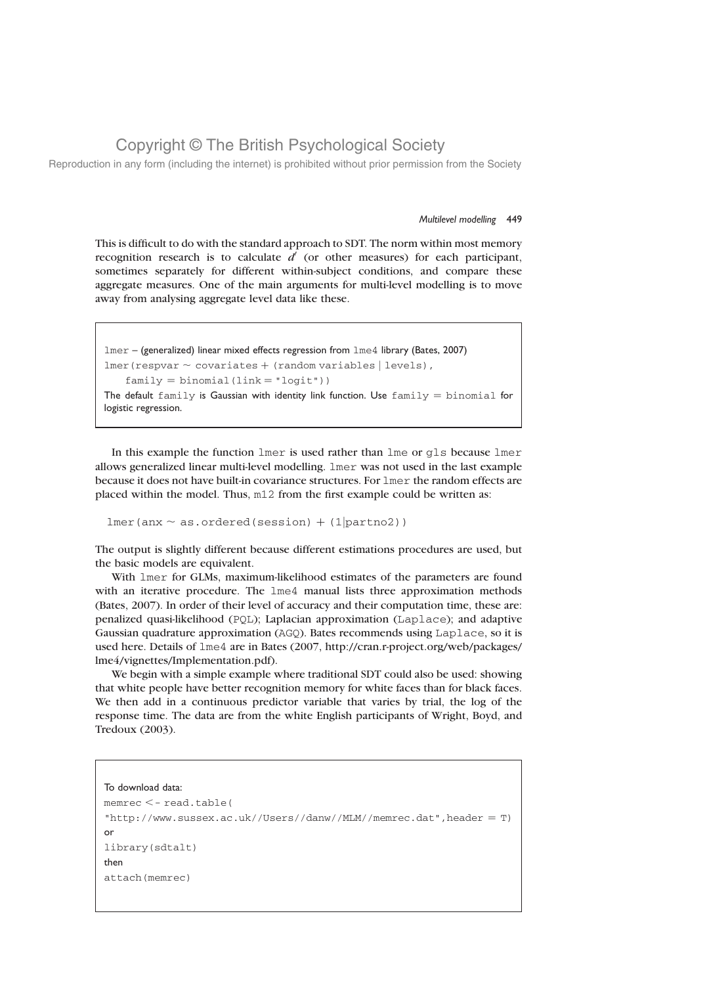Reproduction in any form (including the internet) is prohibited without prior permission from the Society

#### Multilevel modelling 449

This is difficult to do with the standard approach to SDT. The norm within most memory recognition research is to calculate  $d'$  (or other measures) for each participant, sometimes separately for different within-subject conditions, and compare these aggregate measures. One of the main arguments for multi-level modelling is to move away from analysing aggregate level data like these.

```
lmer – (generalized) linear mixed effects regression from lme4 library (Bates, 2007)
lmer(respvar \sim covariates + (random variables | levels),
    family = binomial(link = "logit"))
The default family is Gaussian with identity link function. Use family = binomial for
logistic regression.
```
In this example the function lmer is used rather than lme or gls because lmer allows generalized linear multi-level modelling. lmer was not used in the last example because it does not have built-in covariance structures. For lmer the random effects are placed within the model. Thus, m12 from the first example could be written as:

```
lmer(anx \sim as.ordered(session) + (1|partno2))
```
The output is slightly different because different estimations procedures are used, but the basic models are equivalent.

With lmer for GLMs, maximum-likelihood estimates of the parameters are found with an iterative procedure. The lme4 manual lists three approximation methods (Bates, 2007). In order of their level of accuracy and their computation time, these are: penalized quasi-likelihood (PQL); Laplacian approximation (Laplace); and adaptive Gaussian quadrature approximation (AGQ). Bates recommends using Laplace, so it is used here. Details of lme4 are in Bates (2007, http://cran.r-project.org/web/packages/ lme4/vignettes/Implementation.pdf).

We begin with a simple example where traditional SDT could also be used: showing that white people have better recognition memory for white faces than for black faces. We then add in a continuous predictor variable that varies by trial, the log of the response time. The data are from the white English participants of Wright, Boyd, and Tredoux (2003).

#### To download data:

```
memrec \leq-read.table(
"http://www.sussex.ac.uk//Users//danw//MLM//memrec.dat",header = T)or
library(sdtalt)
then
attach(memrec)
```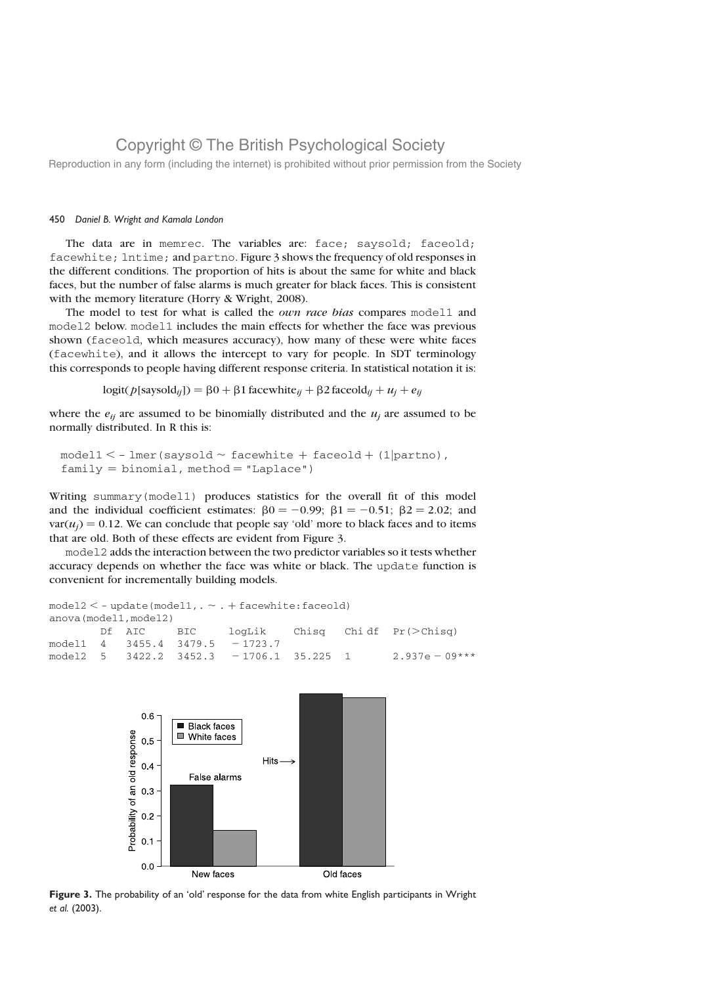Reproduction in any form (including the internet) is prohibited without prior permission from the Society

### 450 Daniel B. Wright and Kamala London

The data are in memrec. The variables are: face; saysold; faceold; facewhite; lntime; and partno. Figure 3 shows the frequency of old responses in the different conditions. The proportion of hits is about the same for white and black faces, but the number of false alarms is much greater for black faces. This is consistent with the memory literature (Horry & Wright, 2008).

The model to test for what is called the *own race bias* compares model1 and model2 below. model1 includes the main effects for whether the face was previous shown (faceold, which measures accuracy), how many of these were white faces (facewhite), and it allows the intercept to vary for people. In SDT terminology this corresponds to people having different response criteria. In statistical notation it is:

 $logit(p[saysold_{ij}]) = \beta 0 + \beta 1$  facewhite<sub>ij</sub> +  $\beta 2$  faceold<sub>ij</sub> +  $u_j + e_{ij}$ 

where the  $e_{ii}$  are assumed to be binomially distributed and the  $u_i$  are assumed to be normally distributed. In R this is:

```
model1 < - lmer(saysold \sim facewhite + faceold + (1|partno),
family = binomial, method = "Laplace")
```
Writing summary(model1) produces statistics for the overall fit of this model and the individual coefficient estimates:  $\beta = 0.99$ ;  $\beta = 1 - 0.51$ ;  $\beta = 2.02$ ; and  $var(u_i) = 0.12$ . We can conclude that people say 'old' more to black faces and to items that are old. Both of these effects are evident from Figure 3.

model2 adds the interaction between the two predictor variables so it tests whether accuracy depends on whether the face was white or black. The update function is convenient for incrementally building models.

```
model2 < -update(model1, \sim . + facewhite:faceold)
anova(model1,model2)
      Df AIC BIC logLik Chisq Chidf Pr(\geq Chisq)model1 4 3455.4 3479.5 - 1723.7
model2 5 3422.2 3452.3 - 1706.1 35.225 1 2.937e - 09***
```


Figure 3. The probability of an 'old' response for the data from white English participants in Wright et al. (2003).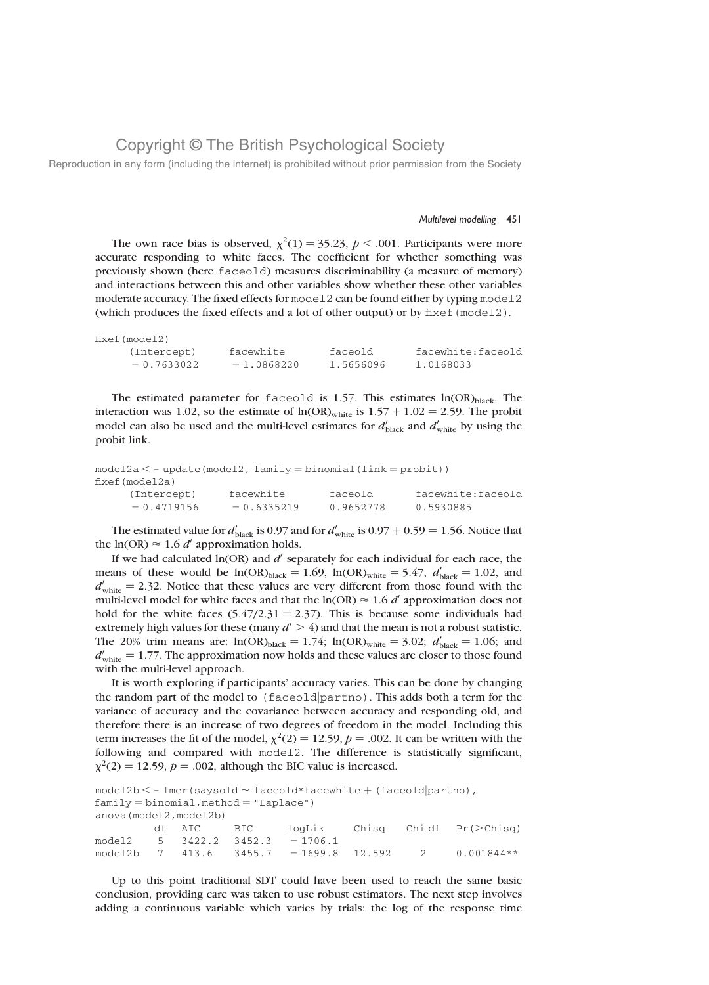Reproduction in any form (including the internet) is prohibited without prior permission from the Society

#### Multilevel modelling 451

The own race bias is observed,  $\chi^2(1) = 35.23$ ,  $p < .001$ . Participants were more accurate responding to white faces. The coefficient for whether something was previously shown (here faceold) measures discriminability (a measure of memory) and interactions between this and other variables show whether these other variables moderate accuracy. The fixed effects for model2 can be found either by typing model2 (which produces the fixed effects and a lot of other output) or by fixef(model2).

| fixef(model2) |              |           |                   |
|---------------|--------------|-----------|-------------------|
| (Intercept)   | facewhite    | faceold   | facewhite:faceold |
| $-0.7633022$  | $-1.0868220$ | 1.5656096 | 1.0168033         |

The estimated parameter for faceold is 1.57. This estimates  $ln(OR)_{black}$ . The interaction was 1.02, so the estimate of  $ln(OR)_{white}$  is  $1.57 + 1.02 = 2.59$ . The probit model can also be used and the multi-level estimates for  $d'_{black}$  and  $d'_{white}$  by using the probit link.

```
model2a < - update(mod 12, family = binomial(link = probit))fixef(model2a)
     (Intercept) facewhite faceold facewhite:faceold
     -0.4719156 - 0.6335219 - 0.9652778 - 0.5930885
```
The estimated value for  $d'_{\text{black}}$  is 0.97 and for  $d'_{\text{white}}$  is 0.97 + 0.59 = 1.56. Notice that the ln(OR)  $\approx$  1.6 d' approximation holds.

If we had calculated  $ln(OR)$  and  $d'$  separately for each individual for each race, the means of these would be  $ln(OR)_{black} = 1.69$ ,  $ln(OR)_{white} = 5.47$ ,  $d'_{black} = 1.02$ , and  $d'_{\text{white}}$  = 2.32. Notice that these values are very different from those found with the multi-level model for white faces and that the  $ln(OR) \approx 1.6 d'$  approximation does not hold for the white faces  $(5.47/2.31 = 2.37)$ . This is because some individuals had extremely high values for these (many  $d' > 4$ ) and that the mean is not a robust statistic. The 20% trim means are:  $ln(OR)_{black} = 1.74$ ;  $ln(OR)_{white} = 3.02$ ;  $d'_{black} = 1.06$ ; and  $d'_{\text{white}} = 1.77$ . The approximation now holds and these values are closer to those found with the multi-level approach.

It is worth exploring if participants' accuracy varies. This can be done by changing the random part of the model to (faceoldjpartno). This adds both a term for the variance of accuracy and the covariance between accuracy and responding old, and therefore there is an increase of two degrees of freedom in the model. Including this term increases the fit of the model,  $\chi^2(2) = 12.59$ ,  $p = .002$ . It can be written with the following and compared with model2. The difference is statistically significant,  $\chi^2(2) = 12.59$ ,  $p = .002$ , although the BIC value is increased.

 $model2b < -$  lmer(saysold  $\sim$  faceold\*facewhite  $+$  (faceold partno),  $family = binomial$ , method = "Laplace") anova(model2,model2b) df AIC BIC logLik Chisq Chidf Pr(>Chisq) model2  $5 \quad 3422.2 \quad 3452.3 \quad -1706.1$ model2b 7 413.6 3455.7 -1699.8 12.592 2 0.001844\*\*

Up to this point traditional SDT could have been used to reach the same basic conclusion, providing care was taken to use robust estimators. The next step involves adding a continuous variable which varies by trials: the log of the response time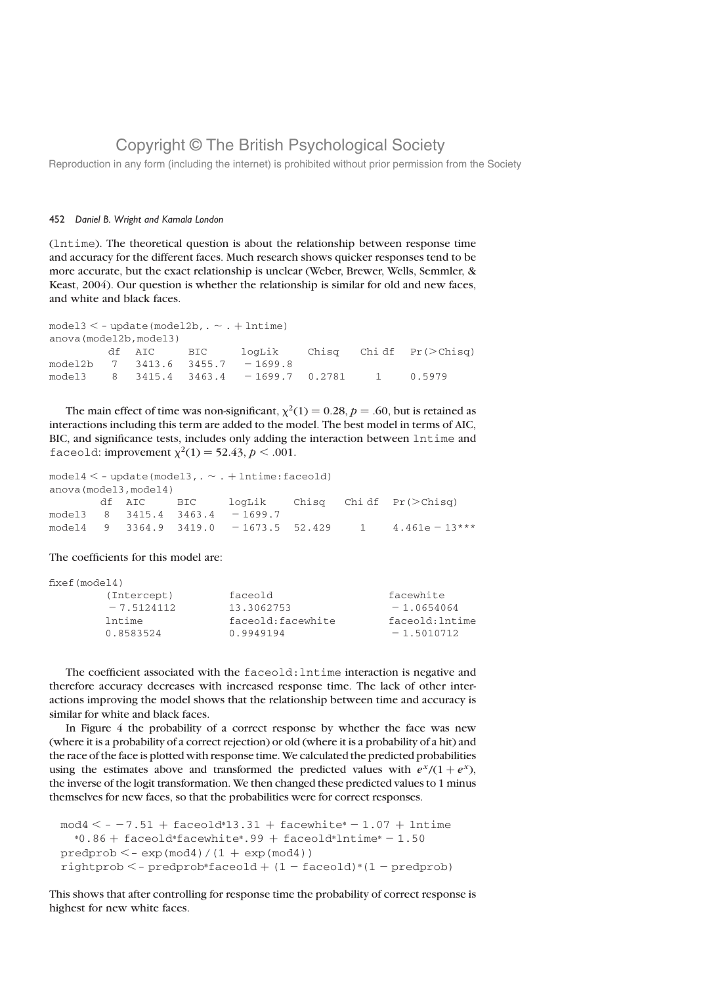Reproduction in any form (including the internet) is prohibited without prior permission from the Society

### 452 Daniel B. Wright and Kamala London

(lntime). The theoretical question is about the relationship between response time and accuracy for the different faces. Much research shows quicker responses tend to be more accurate, but the exact relationship is unclear (Weber, Brewer, Wells, Semmler, & Keast, 2004). Our question is whether the relationship is similar for old and new faces, and white and black faces.

| $model3 < -$ update(model2b, $\sim$ . $+$ lntime) |  |            |  |                                         |  |  |                                       |  |
|---------------------------------------------------|--|------------|--|-----------------------------------------|--|--|---------------------------------------|--|
| anova(model2b, model3)                            |  |            |  |                                         |  |  |                                       |  |
|                                                   |  | df AIC BIC |  |                                         |  |  | $logLik$ Chisq Chidf $Pr(\geq Chisq)$ |  |
|                                                   |  |            |  | model2b 7 3413.6 3455.7 -1699.8         |  |  |                                       |  |
|                                                   |  |            |  | model3 8 3415.4 3463.4 -1699.7 0.2781 1 |  |  | 0.5979                                |  |
|                                                   |  |            |  |                                         |  |  |                                       |  |

The main effect of time was non-significant,  $\chi^2(1) = 0.28$ ,  $p = .60$ , but is retained as interactions including this term are added to the model. The best model in terms of AIC, BIC, and significance tests, includes only adding the interaction between lntime and faceold: improvement  $\chi^2(1) = 52.43, p < .001$ .

```
model4 < - update(model3, \sim . + lntime: faceold)
anova(model3,model4)
```

|  |  |                                                          |  | df AIC BIC $logLik$ Chisq Chidf $Pr(>\text{Chisq})$     |
|--|--|----------------------------------------------------------|--|---------------------------------------------------------|
|  |  | $model3 \quad 8 \quad 3415.4 \quad 3463.4 \quad -1699.7$ |  |                                                         |
|  |  |                                                          |  | model4 9 3364.9 3419.0 - 1673.5 52.429 1 4.461e - 13*** |

The coefficients for this model are:

| fixed (model4) |                    |                 |
|----------------|--------------------|-----------------|
| (Intercept)    | faceold            | facewhite       |
| $-7.5124112$   | 13.3062753         | $-1.0654064$    |
| lntime         | faceold: facewhite | faceold: Intime |
| 0.8583524      | 0.9949194          | $-1.5010712$    |
|                |                    |                 |

The coefficient associated with the faceold: lntime interaction is negative and therefore accuracy decreases with increased response time. The lack of other interactions improving the model shows that the relationship between time and accuracy is similar for white and black faces.

In Figure 4 the probability of a correct response by whether the face was new (where it is a probability of a correct rejection) or old (where it is a probability of a hit) and the race of the face is plotted with response time. We calculated the predicted probabilities using the estimates above and transformed the predicted values with  $e^{x}/(1 + e^{x})$ , the inverse of the logit transformation. We then changed these predicted values to 1 minus themselves for new faces, so that the probabilities were for correct responses.

```
mod4 < -7.51 + faceold*13.31 + facewhile*-1.07 + Intime*0.86 + faceold*facewhite*.99 + faceold*Intime* - 1.50predprob < - exp(mod4)/(1 + exp(mod4))rightprob < -</math> predprob*faceold + (1 - faceold)*(1 - predprob)
```
This shows that after controlling for response time the probability of correct response is highest for new white faces.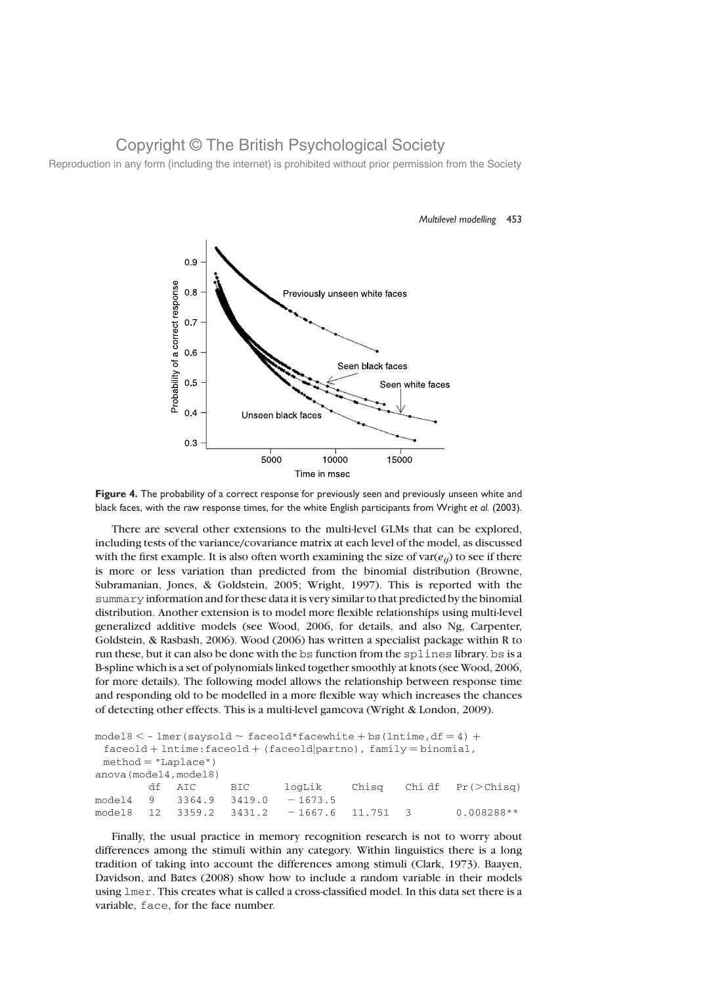Reproduction in any form (including the internet) is prohibited without prior permission from the Society



Multilevel modelling 453

Figure 4. The probability of a correct response for previously seen and previously unseen white and black faces, with the raw response times, for the white English participants from Wright et al. (2003).

There are several other extensions to the multi-level GLMs that can be explored, including tests of the variance/covariance matrix at each level of the model, as discussed with the first example. It is also often worth examining the size of  $var(e_{ii})$  to see if there is more or less variation than predicted from the binomial distribution (Browne, Subramanian, Jones, & Goldstein, 2005; Wright, 1997). This is reported with the summary information and for these data it is very similar to that predicted by the binomial distribution. Another extension is to model more flexible relationships using multi-level generalized additive models (see Wood, 2006, for details, and also Ng, Carpenter, Goldstein, & Rasbash, 2006). Wood (2006) has written a specialist package within R to run these, but it can also be done with the bs function from the splines library. bs is a B-spline which is a set of polynomials linked together smoothly at knots (see Wood, 2006, for more details). The following model allows the relationship between response time and responding old to be modelled in a more flexible way which increases the chances of detecting other effects. This is a multi-level gamcova (Wright & London, 2009).

```
model8 < - lmer(saysold \sim faceold*facewhite + bs(lntime, df = 4) +
 facedId + Intime:faceold + (faceold | partno), family = binomial,
 method = "Laplace")anova(model4,model8)
        df AIC BIC logLik Chisq Chidf Pr(>Chisq)
model4 9 3364.9 3419.0 -1673.5<br>model8 12 3359.2 3431.2 -1667.6
model8 12 3359.2 3431.2 - 1667.6 11.751 3 0.008288**
```
Finally, the usual practice in memory recognition research is not to worry about differences among the stimuli within any category. Within linguistics there is a long tradition of taking into account the differences among stimuli (Clark, 1973). Baayen, Davidson, and Bates (2008) show how to include a random variable in their models using lmer. This creates what is called a cross-classified model. In this data set there is a variable, face, for the face number.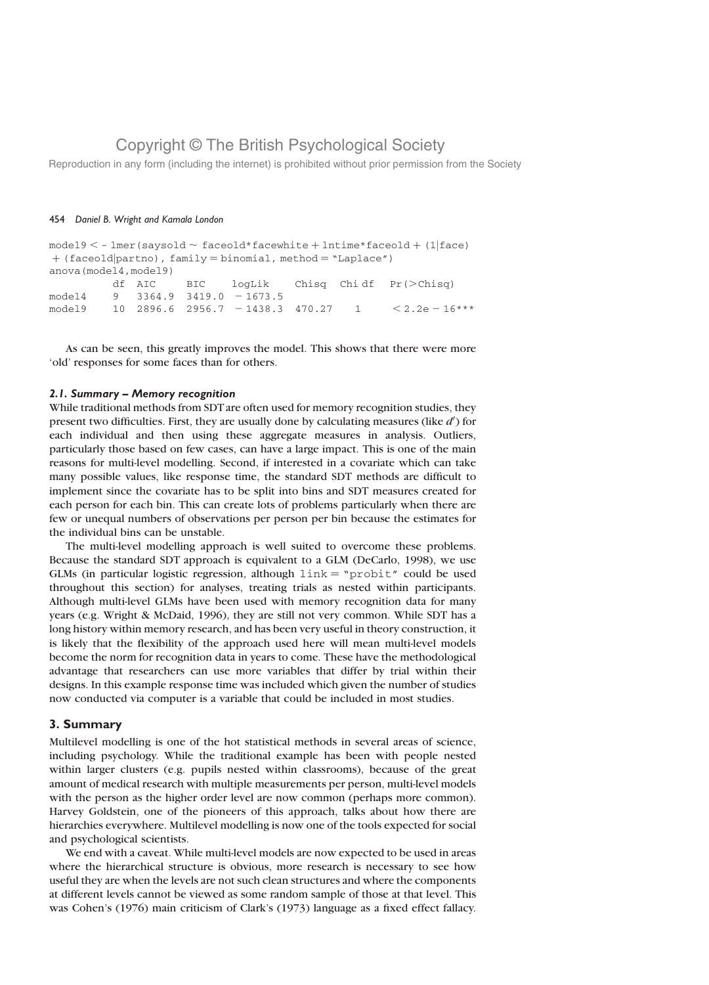Reproduction in any form (including the internet) is prohibited without prior permission from the Society

### 454 Daniel B. Wright and Kamala London

 $model9 < -$  lmer(saysold  $\sim$  faceold\*facewhite + lntime\*faceold + (1|face)  $+(facedId|partno)$ ,  $family = binomial$ ,  $method = "Laplace")$ anova(model4,model9) df AIC BIC logLik Chisq Chi df  $Pr(\geq Chisq)$  $model4$  9 3364.9 3419.0 - 1673.5 model9 10 2896.6 2956.7 - 1438.3 470.27 1  $\leq 2.2e - 16***$ 

As can be seen, this greatly improves the model. This shows that there were more 'old' responses for some faces than for others.

### 2.1. Summary – Memory recognition

While traditional methods from SDT are often used for memory recognition studies, they present two difficulties. First, they are usually done by calculating measures (like  $d'$ ) for each individual and then using these aggregate measures in analysis. Outliers, particularly those based on few cases, can have a large impact. This is one of the main reasons for multi-level modelling. Second, if interested in a covariate which can take many possible values, like response time, the standard SDT methods are difficult to implement since the covariate has to be split into bins and SDT measures created for each person for each bin. This can create lots of problems particularly when there are few or unequal numbers of observations per person per bin because the estimates for the individual bins can be unstable.

The multi-level modelling approach is well suited to overcome these problems. Because the standard SDT approach is equivalent to a GLM (DeCarlo, 1998), we use GLMs (in particular logistic regression, although  $\text{link} = \text{``probit''}$  could be used throughout this section) for analyses, treating trials as nested within participants. Although multi-level GLMs have been used with memory recognition data for many years (e.g. Wright & McDaid, 1996), they are still not very common. While SDT has a long history within memory research, and has been very useful in theory construction, it is likely that the flexibility of the approach used here will mean multi-level models become the norm for recognition data in years to come. These have the methodological advantage that researchers can use more variables that differ by trial within their designs. In this example response time was included which given the number of studies now conducted via computer is a variable that could be included in most studies.

### 3. Summary

Multilevel modelling is one of the hot statistical methods in several areas of science, including psychology. While the traditional example has been with people nested within larger clusters (e.g. pupils nested within classrooms), because of the great amount of medical research with multiple measurements per person, multi-level models with the person as the higher order level are now common (perhaps more common). Harvey Goldstein, one of the pioneers of this approach, talks about how there are hierarchies everywhere. Multilevel modelling is now one of the tools expected for social and psychological scientists.

We end with a caveat. While multi-level models are now expected to be used in areas where the hierarchical structure is obvious, more research is necessary to see how useful they are when the levels are not such clean structures and where the components at different levels cannot be viewed as some random sample of those at that level. This was Cohen's (1976) main criticism of Clark's (1973) language as a fixed effect fallacy.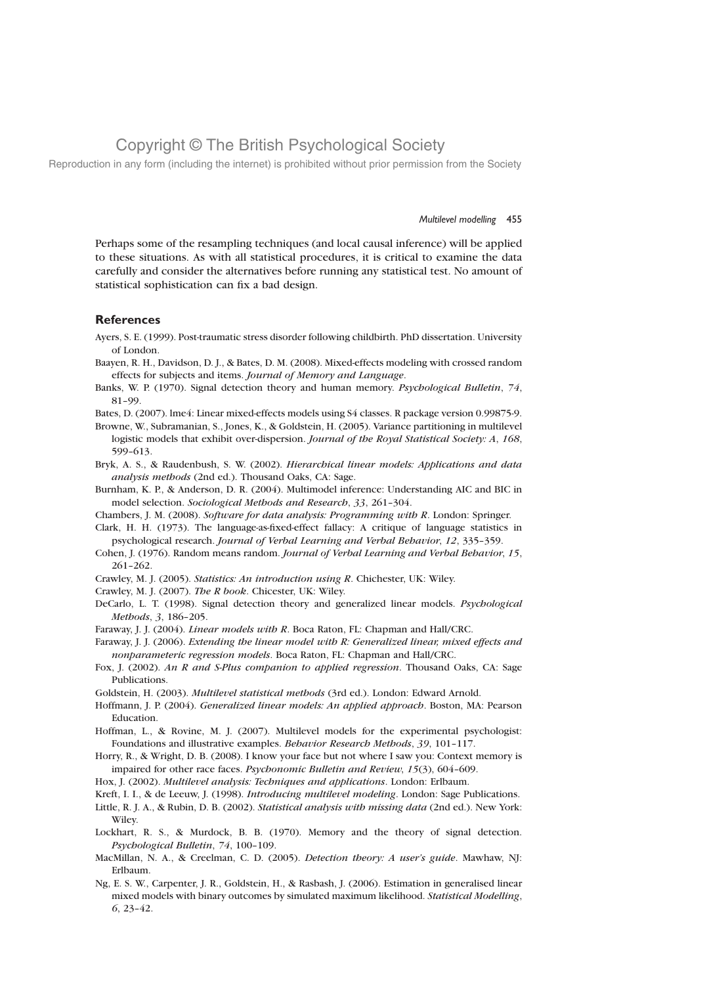Reproduction in any form (including the internet) is prohibited without prior permission from the Society

#### Multilevel modelling 455

Perhaps some of the resampling techniques (and local causal inference) will be applied to these situations. As with all statistical procedures, it is critical to examine the data carefully and consider the alternatives before running any statistical test. No amount of statistical sophistication can fix a bad design.

### **References**

Ayers, S. E. (1999). Post-traumatic stress disorder following childbirth. PhD dissertation. University of London.

- Baayen, R. H., Davidson, D. J., & Bates, D. M. (2008). Mixed-effects modeling with crossed random effects for subjects and items. Journal of Memory and Language.
- Banks, W. P. (1970). Signal detection theory and human memory. Psychological Bulletin, 74, 81–99.

Bates, D. (2007). lme4: Linear mixed-effects models using S4 classes. R package version 0.99875-9.

Browne, W., Subramanian, S., Jones, K., & Goldstein, H. (2005). Variance partitioning in multilevel logistic models that exhibit over-dispersion. Journal of the Royal Statistical Society: A, 168, 599–613.

Bryk, A. S., & Raudenbush, S. W. (2002). Hierarchical linear models: Applications and data analysis methods (2nd ed.). Thousand Oaks, CA: Sage.

Burnham, K. P., & Anderson, D. R. (2004). Multimodel inference: Understanding AIC and BIC in model selection. Sociological Methods and Research, 33, 261–304.

Chambers, J. M. (2008). Software for data analysis: Programming with R. London: Springer.

Clark, H. H. (1973). The language-as-fixed-effect fallacy: A critique of language statistics in psychological research. Journal of Verbal Learning and Verbal Behavior, 12, 335–359.

Cohen, J. (1976). Random means random. Journal of Verbal Learning and Verbal Behavior, 15, 261–262.

Crawley, M. J. (2005). Statistics: An introduction using R. Chichester, UK: Wiley.

Crawley, M. J. (2007). The R book. Chicester, UK: Wiley.

DeCarlo, L. T. (1998). Signal detection theory and generalized linear models. Psychological Methods, 3, 186–205.

Faraway, J. J. (2004). Linear models with R. Boca Raton, FL: Chapman and Hall/CRC.

Faraway, J. J. (2006). Extending the linear model with R: Generalized linear, mixed effects and nonparameteric regression models. Boca Raton, FL: Chapman and Hall/CRC.

Fox, J. (2002). An R and S-Plus companion to applied regression. Thousand Oaks, CA: Sage Publications.

Goldstein, H. (2003). Multilevel statistical methods (3rd ed.). London: Edward Arnold.

Hoffmann, J. P. (2004). Generalized linear models: An applied approach. Boston, MA: Pearson Education.

Hoffman, L., & Rovine, M. J. (2007). Multilevel models for the experimental psychologist: Foundations and illustrative examples. Behavior Research Methods, 39, 101–117.

- Horry, R., & Wright, D. B. (2008). I know your face but not where I saw you: Context memory is impaired for other race faces. Psychonomic Bulletin and Review, 15(3), 604–609.
- Hox, J. (2002). Multilevel analysis: Techniques and applications. London: Erlbaum.

Kreft, I. I., & de Leeuw, J. (1998). Introducing multilevel modeling. London: Sage Publications.

- Little, R. J. A., & Rubin, D. B. (2002). Statistical analysis with missing data (2nd ed.). New York: Wiley.
- Lockhart, R. S., & Murdock, B. B. (1970). Memory and the theory of signal detection. Psychological Bulletin, 74, 100–109.
- MacMillan, N. A., & Creelman, C. D. (2005). Detection theory: A user's guide. Mawhaw, NJ: Erlbaum.
- Ng, E. S. W., Carpenter, J. R., Goldstein, H., & Rasbash, J. (2006). Estimation in generalised linear mixed models with binary outcomes by simulated maximum likelihood. Statistical Modelling, 6, 23–42.